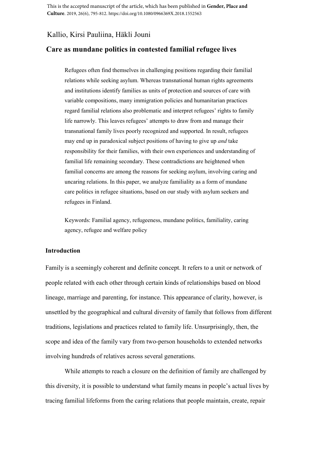This is the accepted manuscript of the article, which has been published in **Gender, Place and Culture**. 2019, 26(6), 795-812. https://doi.org/10.1080/0966369X.2018.1552563

# Kallio, Kirsi Pauliina, Häkli Jouni

## **Care as mundane politics in contested familial refugee lives**

Refugees often find themselves in challenging positions regarding their familial relations while seeking asylum. Whereas transnational human rights agreements and institutions identify families as units of protection and sources of care with variable compositions, many immigration policies and humanitarian practices regard familial relations also problematic and interpret refugees' rights to family life narrowly. This leaves refugees' attempts to draw from and manage their transnational family lives poorly recognized and supported. In result, refugees may end up in paradoxical subject positions of having to give up *and* take responsibility for their families, with their own experiences and understanding of familial life remaining secondary. These contradictions are heightened when familial concerns are among the reasons for seeking asylum, involving caring and uncaring relations. In this paper, we analyze familiality as a form of mundane care politics in refugee situations, based on our study with asylum seekers and refugees in Finland.

Keywords: Familial agency, refugeeness, mundane politics, familiality, caring agency, refugee and welfare policy

### **Introduction**

Family is a seemingly coherent and definite concept. It refers to a unit or network of people related with each other through certain kinds of relationships based on blood lineage, marriage and parenting, for instance. This appearance of clarity, however, is unsettled by the geographical and cultural diversity of family that follows from different traditions, legislations and practices related to family life. Unsurprisingly, then, the scope and idea of the family vary from two-person households to extended networks involving hundreds of relatives across several generations.

While attempts to reach a closure on the definition of family are challenged by this diversity, it is possible to understand what family means in people's actual lives by tracing familial lifeforms from the caring relations that people maintain, create, repair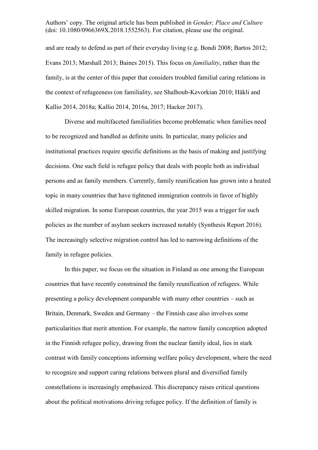Authors' copy. The original article has been published in *Gender, Place and Culture* (doi: 10.1080/0966369X.2018.1552563). For citation, please use the original.

and are ready to defend as part of their everyday living (e.g. Bondi 2008; Bartos 2012; Evans 2013; Marshall 2013; Baines 2015). This focus on *familiality*, rather than the family, is at the center of this paper that considers troubled familial caring relations in the context of refugeeness (on familiality, see Shalhoub-Kevorkian 2010; Häkli and Kallio 2014, 2018a; Kallio 2014, 2016a, 2017; Hacker 2017).

Diverse and multifaceted familialities become problematic when families need to be recognized and handled as definite units. In particular, many policies and institutional practices require specific definitions as the basis of making and justifying decisions. One such field is refugee policy that deals with people both as individual persons and as family members. Currently, family reunification has grown into a heated topic in many countries that have tightened immigration controls in favor of highly skilled migration. In some European countries, the year 2015 was a trigger for such policies as the number of asylum seekers increased notably (Synthesis Report 2016). The increasingly selective migration control has led to narrowing definitions of the family in refugee policies.

In this paper, we focus on the situation in Finland as one among the European countries that have recently constrained the family reunification of refugees. While presenting a policy development comparable with many other countries – such as Britain, Denmark, Sweden and Germany – the Finnish case also involves some particularities that merit attention. For example, the narrow family conception adopted in the Finnish refugee policy, drawing from the nuclear family ideal, lies in stark contrast with family conceptions informing welfare policy development, where the need to recognize and support caring relations between plural and diversified family constellations is increasingly emphasized. This discrepancy raises critical questions about the political motivations driving refugee policy. If the definition of family is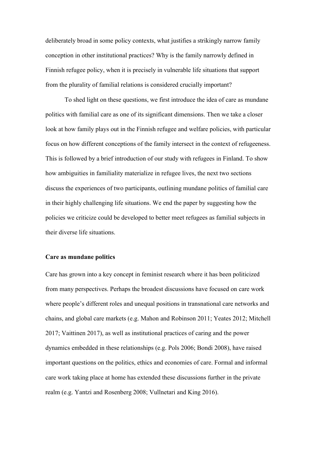deliberately broad in some policy contexts, what justifies a strikingly narrow family conception in other institutional practices? Why is the family narrowly defined in Finnish refugee policy, when it is precisely in vulnerable life situations that support from the plurality of familial relations is considered crucially important?

To shed light on these questions, we first introduce the idea of care as mundane politics with familial care as one of its significant dimensions. Then we take a closer look at how family plays out in the Finnish refugee and welfare policies, with particular focus on how different conceptions of the family intersect in the context of refugeeness. This is followed by a brief introduction of our study with refugees in Finland. To show how ambiguities in familiality materialize in refugee lives, the next two sections discuss the experiences of two participants, outlining mundane politics of familial care in their highly challenging life situations. We end the paper by suggesting how the policies we criticize could be developed to better meet refugees as familial subjects in their diverse life situations.

### **Care as mundane politics**

Care has grown into a key concept in feminist research where it has been politicized from many perspectives. Perhaps the broadest discussions have focused on care work where people's different roles and unequal positions in transnational care networks and chains, and global care markets (e.g. Mahon and Robinson 2011; Yeates 2012; Mitchell 2017; Vaittinen 2017), as well as institutional practices of caring and the power dynamics embedded in these relationships (e.g. Pols 2006; Bondi 2008), have raised important questions on the politics, ethics and economies of care. Formal and informal care work taking place at home has extended these discussions further in the private realm (e.g. Yantzi and Rosenberg 2008; Vullnetari and King 2016).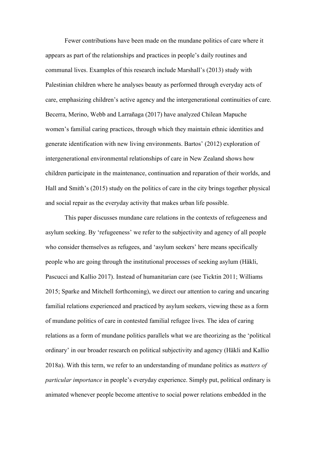Fewer contributions have been made on the mundane politics of care where it appears as part of the relationships and practices in people's daily routines and communal lives. Examples of this research include Marshall's (2013) study with Palestinian children where he analyses beauty as performed through everyday acts of care, emphasizing children's active agency and the intergenerational continuities of care. Becerra, Merino, Webb and Larrañaga (2017) have analyzed Chilean Mapuche women's familial caring practices, through which they maintain ethnic identities and generate identification with new living environments. Bartos' (2012) exploration of intergenerational environmental relationships of care in New Zealand shows how children participate in the maintenance, continuation and reparation of their worlds, and Hall and Smith's (2015) study on the politics of care in the city brings together physical and social repair as the everyday activity that makes urban life possible.

This paper discusses mundane care relations in the contexts of refugeeness and asylum seeking. By 'refugeeness' we refer to the subjectivity and agency of all people who consider themselves as refugees, and 'asylum seekers' here means specifically people who are going through the institutional processes of seeking asylum (Häkli, Pascucci and Kallio 2017). Instead of humanitarian care (see Ticktin 2011; Williams 2015; Sparke and Mitchell forthcoming), we direct our attention to caring and uncaring familial relations experienced and practiced by asylum seekers, viewing these as a form of mundane politics of care in contested familial refugee lives. The idea of caring relations as a form of mundane politics parallels what we are theorizing as the 'political ordinary' in our broader research on political subjectivity and agency (Häkli and Kallio 2018a). With this term, we refer to an understanding of mundane politics as *matters of particular importance* in people's everyday experience. Simply put, political ordinary is animated whenever people become attentive to social power relations embedded in the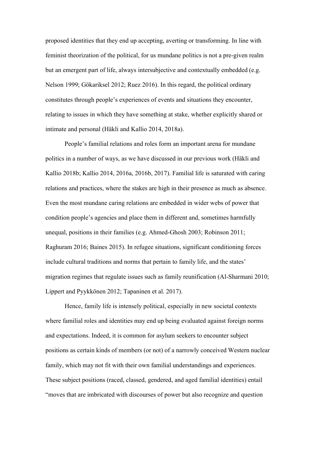proposed identities that they end up accepting, averting or transforming. In line with feminist theorization of the political, for us mundane politics is not a pre-given realm but an emergent part of life, always intersubjective and contextually embedded (e.g. Nelson 1999; Gökariksel 2012; Ruez 2016). In this regard, the political ordinary constitutes through people's experiences of events and situations they encounter, relating to issues in which they have something at stake, whether explicitly shared or intimate and personal (Häkli and Kallio 2014, 2018a).

People's familial relations and roles form an important arena for mundane politics in a number of ways, as we have discussed in our previous work (Häkli and Kallio 2018b; Kallio 2014, 2016a, 2016b, 2017). Familial life is saturated with caring relations and practices, where the stakes are high in their presence as much as absence. Even the most mundane caring relations are embedded in wider webs of power that condition people's agencies and place them in different and, sometimes harmfully unequal, positions in their families (e.g. Ahmed-Ghosh 2003; Robinson 2011; Raghuram 2016; Baines 2015). In refugee situations, significant conditioning forces include cultural traditions and norms that pertain to family life, and the states' migration regimes that regulate issues such as family reunification (Al-Sharmani 2010; Lippert and Pyykkönen 2012; Tapaninen et al. 2017).

Hence, family life is intensely political, especially in new societal contexts where familial roles and identities may end up being evaluated against foreign norms and expectations. Indeed, it is common for asylum seekers to encounter subject positions as certain kinds of members (or not) of a narrowly conceived Western nuclear family, which may not fit with their own familial understandings and experiences. These subject positions (raced, classed, gendered, and aged familial identities) entail "moves that are imbricated with discourses of power but also recognize and question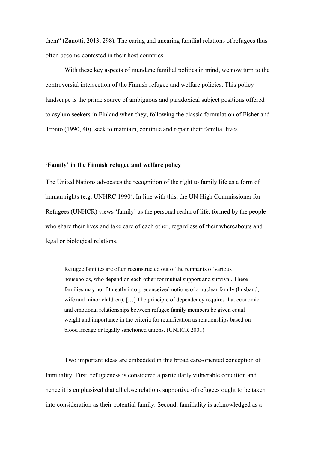them" (Zanotti, 2013, 298). The caring and uncaring familial relations of refugees thus often become contested in their host countries.

With these key aspects of mundane familial politics in mind, we now turn to the controversial intersection of the Finnish refugee and welfare policies. This policy landscape is the prime source of ambiguous and paradoxical subject positions offered to asylum seekers in Finland when they, following the classic formulation of Fisher and Tronto (1990, 40), seek to maintain, continue and repair their familial lives.

#### **'Family' in the Finnish refugee and welfare policy**

The United Nations advocates the recognition of the right to family life as a form of human rights (e.g. UNHRC 1990). In line with this, the UN High Commissioner for Refugees (UNHCR) views 'family' as the personal realm of life, formed by the people who share their lives and take care of each other, regardless of their whereabouts and legal or biological relations.

Refugee families are often reconstructed out of the remnants of various households, who depend on each other for mutual support and survival. These families may not fit neatly into preconceived notions of a nuclear family (husband, wife and minor children). [...] The principle of dependency requires that economic and emotional relationships between refugee family members be given equal weight and importance in the criteria for reunification as relationships based on blood lineage or legally sanctioned unions. (UNHCR 2001)

Two important ideas are embedded in this broad care-oriented conception of familiality. First, refugeeness is considered a particularly vulnerable condition and hence it is emphasized that all close relations supportive of refugees ought to be taken into consideration as their potential family. Second, familiality is acknowledged as a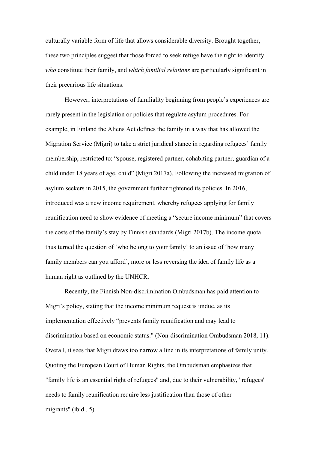culturally variable form of life that allows considerable diversity. Brought together, these two principles suggest that those forced to seek refuge have the right to identify *who* constitute their family, and *which familial relations* are particularly significant in their precarious life situations.

However, interpretations of familiality beginning from people's experiences are rarely present in the legislation or policies that regulate asylum procedures. For example, in Finland the Aliens Act defines the family in a way that has allowed the Migration Service (Migri) to take a strict juridical stance in regarding refugees' family membership, restricted to: "spouse, registered partner, cohabiting partner, guardian of a child under 18 years of age, child" (Migri 2017a). Following the increased migration of asylum seekers in 2015, the government further tightened its policies. In 2016, introduced was a new income requirement, whereby refugees applying for family reunification need to show evidence of meeting a "secure income minimum" that covers the costs of the family's stay by Finnish standards (Migri 2017b). The income quota thus turned the question of 'who belong to your family' to an issue of 'how many family members can you afford', more or less reversing the idea of family life as a human right as outlined by the UNHCR.

Recently, the Finnish Non-discrimination Ombudsman has paid attention to Migri's policy, stating that the income minimum request is undue, as its implementation effectively "prevents family reunification and may lead to discrimination based on economic status." (Non-discrimination Ombudsman 2018, 11). Overall, it sees that Migri draws too narrow a line in its interpretations of family unity. Quoting the European Court of Human Rights, the Ombudsman emphasizes that "family life is an essential right of refugees" and, due to their vulnerability, "refugees' needs to family reunification require less justification than those of other migrants" (ibid., 5).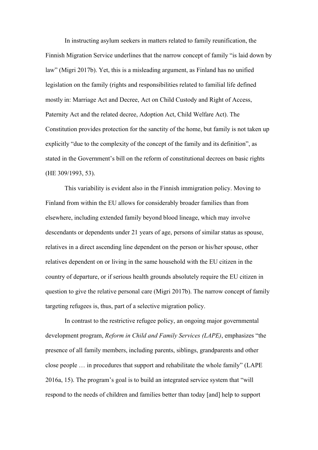In instructing asylum seekers in matters related to family reunification, the Finnish Migration Service underlines that the narrow concept of family "is laid down by law" (Migri 2017b). Yet, this is a misleading argument, as Finland has no unified legislation on the family (rights and responsibilities related to familial life defined mostly in: Marriage Act and Decree, Act on Child Custody and Right of Access, Paternity Act and the related decree, Adoption Act, Child Welfare Act). The Constitution provides protection for the sanctity of the home, but family is not taken up explicitly "due to the complexity of the concept of the family and its definition", as stated in the Government's bill on the reform of constitutional decrees on basic rights (HE 309/1993, 53).

This variability is evident also in the Finnish immigration policy. Moving to Finland from within the EU allows for considerably broader families than from elsewhere, including extended family beyond blood lineage, which may involve descendants or dependents under 21 years of age, persons of similar status as spouse, relatives in a direct ascending line dependent on the person or his/her spouse, other relatives dependent on or living in the same household with the EU citizen in the country of departure, or if serious health grounds absolutely require the EU citizen in question to give the relative personal care (Migri 2017b). The narrow concept of family targeting refugees is, thus, part of a selective migration policy.

In contrast to the restrictive refugee policy, an ongoing major governmental development program, *Reform in Child and Family Services (LAPE)*, emphasizes "the presence of all family members, including parents, siblings, grandparents and other close people … in procedures that support and rehabilitate the whole family" (LAPE 2016a, 15). The program's goal is to build an integrated service system that "will respond to the needs of children and families better than today [and] help to support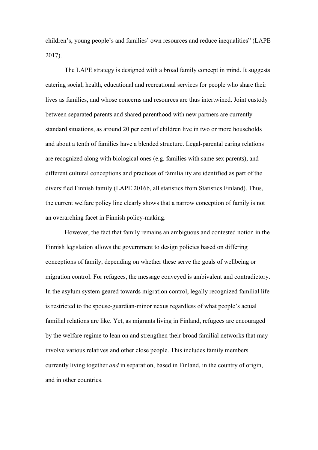children's, young people's and families' own resources and reduce inequalities" (LAPE 2017).

The LAPE strategy is designed with a broad family concept in mind. It suggests catering social, health, educational and recreational services for people who share their lives as families, and whose concerns and resources are thus intertwined. Joint custody between separated parents and shared parenthood with new partners are currently standard situations, as around 20 per cent of children live in two or more households and about a tenth of families have a blended structure. Legal-parental caring relations are recognized along with biological ones (e.g. families with same sex parents), and different cultural conceptions and practices of familiality are identified as part of the diversified Finnish family (LAPE 2016b, all statistics from Statistics Finland). Thus, the current welfare policy line clearly shows that a narrow conception of family is not an overarching facet in Finnish policy-making.

However, the fact that family remains an ambiguous and contested notion in the Finnish legislation allows the government to design policies based on differing conceptions of family, depending on whether these serve the goals of wellbeing or migration control. For refugees, the message conveyed is ambivalent and contradictory. In the asylum system geared towards migration control, legally recognized familial life is restricted to the spouse-guardian-minor nexus regardless of what people's actual familial relations are like. Yet, as migrants living in Finland, refugees are encouraged by the welfare regime to lean on and strengthen their broad familial networks that may involve various relatives and other close people. This includes family members currently living together *and* in separation, based in Finland, in the country of origin, and in other countries.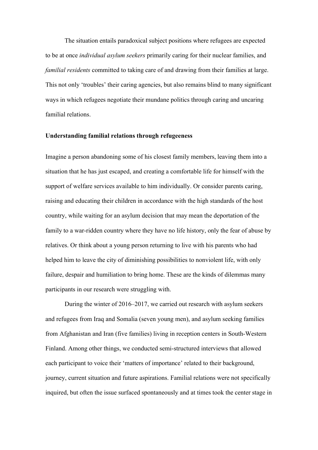The situation entails paradoxical subject positions where refugees are expected to be at once *individual asylum seekers* primarily caring for their nuclear families, and *familial residents* committed to taking care of and drawing from their families at large. This not only 'troubles' their caring agencies, but also remains blind to many significant ways in which refugees negotiate their mundane politics through caring and uncaring familial relations.

### **Understanding familial relations through refugeeness**

Imagine a person abandoning some of his closest family members, leaving them into a situation that he has just escaped, and creating a comfortable life for himself with the support of welfare services available to him individually. Or consider parents caring, raising and educating their children in accordance with the high standards of the host country, while waiting for an asylum decision that may mean the deportation of the family to a war-ridden country where they have no life history, only the fear of abuse by relatives. Or think about a young person returning to live with his parents who had helped him to leave the city of diminishing possibilities to nonviolent life, with only failure, despair and humiliation to bring home. These are the kinds of dilemmas many participants in our research were struggling with.

During the winter of 2016–2017, we carried out research with asylum seekers and refugees from Iraq and Somalia (seven young men), and asylum seeking families from Afghanistan and Iran (five families) living in reception centers in South-Western Finland. Among other things, we conducted semi-structured interviews that allowed each participant to voice their 'matters of importance' related to their background, journey, current situation and future aspirations. Familial relations were not specifically inquired, but often the issue surfaced spontaneously and at times took the center stage in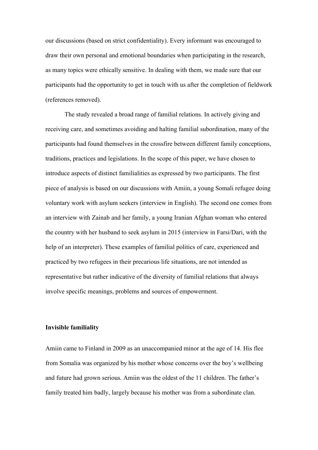our discussions (based on strict confidentiality). Every informant was encouraged to draw their own personal and emotional boundaries when participating in the research, as many topics were ethically sensitive. In dealing with them, we made sure that our participants had the opportunity to get in touch with us after the completion of fieldwork (references removed).

The study revealed a broad range of familial relations. In actively giving and receiving care, and sometimes avoiding and halting familial subordination, many of the participants had found themselves in the crossfire between different family conceptions, traditions, practices and legislations. In the scope of this paper, we have chosen to introduce aspects of distinct familialities as expressed by two participants. The first piece of analysis is based on our discussions with Amiin, a young Somali refugee doing voluntary work with asylum seekers (interview in English). The second one comes from an interview with Zainab and her family, a young Iranian Afghan woman who entered the country with her husband to seek asylum in 2015 (interview in Farsi/Dari, with the help of an interpreter). These examples of familial politics of care, experienced and practiced by two refugees in their precarious life situations, are not intended as representative but rather indicative of the diversity of familial relations that always involve specific meanings, problems and sources of empowerment.

#### **Invisible familiality**

Amiin came to Finland in 2009 as an unaccompanied minor at the age of 14. His flee from Somalia was organized by his mother whose concerns over the boy's wellbeing and future had grown serious. Amiin was the oldest of the 11 children. The father's family treated him badly, largely because his mother was from a subordinate clan.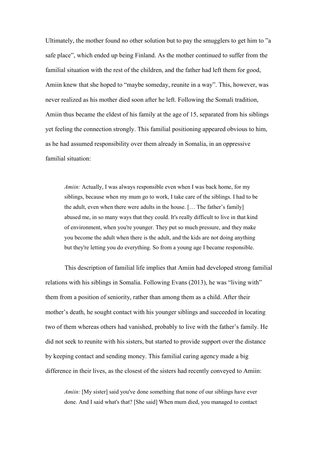Ultimately, the mother found no other solution but to pay the smugglers to get him to "a safe place", which ended up being Finland. As the mother continued to suffer from the familial situation with the rest of the children, and the father had left them for good, Amiin knew that she hoped to "maybe someday, reunite in a way". This, however, was never realized as his mother died soon after he left. Following the Somali tradition, Amiin thus became the eldest of his family at the age of 15, separated from his siblings yet feeling the connection strongly. This familial positioning appeared obvious to him, as he had assumed responsibility over them already in Somalia, in an oppressive familial situation:

*Amiin:* Actually, I was always responsible even when I was back home, for my siblings, because when my mum go to work, I take care of the siblings. I had to be the adult, even when there were adults in the house. [… The father's family] abused me, in so many ways that they could. It's really difficult to live in that kind of environment, when you're younger. They put so much pressure, and they make you become the adult when there is the adult, and the kids are not doing anything but they're letting you do everything. So from a young age I became responsible.

This description of familial life implies that Amiin had developed strong familial relations with his siblings in Somalia. Following Evans (2013), he was "living with" them from a position of seniority, rather than among them as a child. After their mother's death, he sought contact with his younger siblings and succeeded in locating two of them whereas others had vanished, probably to live with the father's family. He did not seek to reunite with his sisters, but started to provide support over the distance by keeping contact and sending money. This familial caring agency made a big difference in their lives, as the closest of the sisters had recently conveyed to Amiin:

*Amiin:* [My sister] said you've done something that none of our siblings have ever done. And I said what's that? [She said] When mum died, you managed to contact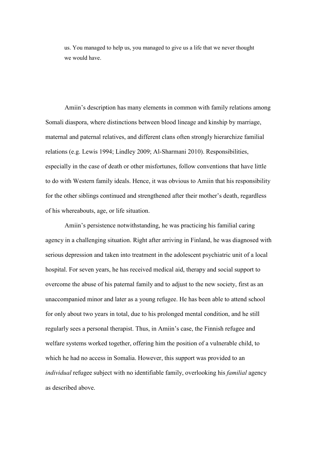us. You managed to help us, you managed to give us a life that we never thought we would have.

Amiin's description has many elements in common with family relations among Somali diaspora, where distinctions between blood lineage and kinship by marriage, maternal and paternal relatives, and different clans often strongly hierarchize familial relations (e.g. Lewis 1994; Lindley 2009; Al-Sharmani 2010). Responsibilities, especially in the case of death or other misfortunes, follow conventions that have little to do with Western family ideals. Hence, it was obvious to Amiin that his responsibility for the other siblings continued and strengthened after their mother's death, regardless of his whereabouts, age, or life situation.

Amiin's persistence notwithstanding, he was practicing his familial caring agency in a challenging situation. Right after arriving in Finland, he was diagnosed with serious depression and taken into treatment in the adolescent psychiatric unit of a local hospital. For seven years, he has received medical aid, therapy and social support to overcome the abuse of his paternal family and to adjust to the new society, first as an unaccompanied minor and later as a young refugee. He has been able to attend school for only about two years in total, due to his prolonged mental condition, and he still regularly sees a personal therapist. Thus, in Amiin's case, the Finnish refugee and welfare systems worked together, offering him the position of a vulnerable child, to which he had no access in Somalia. However, this support was provided to an *individual* refugee subject with no identifiable family, overlooking his *familial* agency as described above.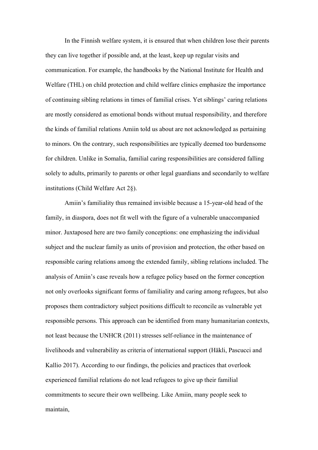In the Finnish welfare system, it is ensured that when children lose their parents they can live together if possible and, at the least, keep up regular visits and communication. For example, the handbooks by the National Institute for Health and Welfare (THL) on child protection and child welfare clinics emphasize the importance of continuing sibling relations in times of familial crises. Yet siblings' caring relations are mostly considered as emotional bonds without mutual responsibility, and therefore the kinds of familial relations Amiin told us about are not acknowledged as pertaining to minors. On the contrary, such responsibilities are typically deemed too burdensome for children. Unlike in Somalia, familial caring responsibilities are considered falling solely to adults, primarily to parents or other legal guardians and secondarily to welfare institutions (Child Welfare Act 2§).

Amiin's familiality thus remained invisible because a 15-year-old head of the family, in diaspora, does not fit well with the figure of a vulnerable unaccompanied minor. Juxtaposed here are two family conceptions: one emphasizing the individual subject and the nuclear family as units of provision and protection, the other based on responsible caring relations among the extended family, sibling relations included. The analysis of Amiin's case reveals how a refugee policy based on the former conception not only overlooks significant forms of familiality and caring among refugees, but also proposes them contradictory subject positions difficult to reconcile as vulnerable yet responsible persons. This approach can be identified from many humanitarian contexts, not least because the UNHCR (2011) stresses self-reliance in the maintenance of livelihoods and vulnerability as criteria of international support (Häkli, Pascucci and Kallio 2017). According to our findings, the policies and practices that overlook experienced familial relations do not lead refugees to give up their familial commitments to secure their own wellbeing. Like Amiin, many people seek to maintain,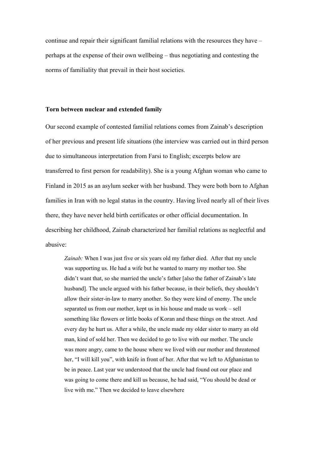continue and repair their significant familial relations with the resources they have – perhaps at the expense of their own wellbeing – thus negotiating and contesting the norms of familiality that prevail in their host societies.

### **Torn between nuclear and extended family**

Our second example of contested familial relations comes from Zainab's description of her previous and present life situations (the interview was carried out in third person due to simultaneous interpretation from Farsi to English; excerpts below are transferred to first person for readability). She is a young Afghan woman who came to Finland in 2015 as an asylum seeker with her husband. They were both born to Afghan families in Iran with no legal status in the country. Having lived nearly all of their lives there, they have never held birth certificates or other official documentation. In describing her childhood, Zainab characterized her familial relations as neglectful and abusive:

*Zainab:* When I was just five or six years old my father died. After that my uncle was supporting us. He had a wife but he wanted to marry my mother too. She didn't want that, so she married the uncle's father [also the father of Zainab's late husband]. The uncle argued with his father because, in their beliefs, they shouldn't allow their sister-in-law to marry another. So they were kind of enemy. The uncle separated us from our mother, kept us in his house and made us work – sell something like flowers or little books of Koran and these things on the street. And every day he hurt us. After a while, the uncle made my older sister to marry an old man, kind of sold her. Then we decided to go to live with our mother. The uncle was more angry, came to the house where we lived with our mother and threatened her, "I will kill you", with knife in front of her. After that we left to Afghanistan to be in peace. Last year we understood that the uncle had found out our place and was going to come there and kill us because, he had said, "You should be dead or live with me." Then we decided to leave elsewhere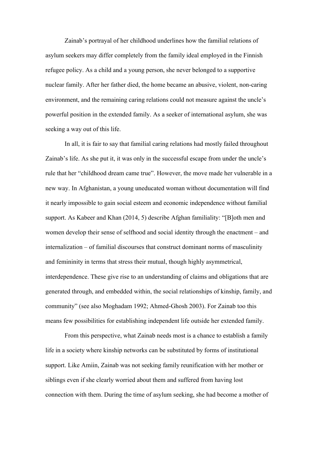Zainab's portrayal of her childhood underlines how the familial relations of asylum seekers may differ completely from the family ideal employed in the Finnish refugee policy. As a child and a young person, she never belonged to a supportive nuclear family. After her father died, the home became an abusive, violent, non-caring environment, and the remaining caring relations could not measure against the uncle's powerful position in the extended family. As a seeker of international asylum, she was seeking a way out of this life.

In all, it is fair to say that familial caring relations had mostly failed throughout Zainab's life. As she put it, it was only in the successful escape from under the uncle's rule that her "childhood dream came true". However, the move made her vulnerable in a new way. In Afghanistan, a young uneducated woman without documentation will find it nearly impossible to gain social esteem and economic independence without familial support. As Kabeer and Khan (2014, 5) describe Afghan familiality: "[B]oth men and women develop their sense of selfhood and social identity through the enactment – and internalization – of familial discourses that construct dominant norms of masculinity and femininity in terms that stress their mutual, though highly asymmetrical, interdependence. These give rise to an understanding of claims and obligations that are generated through, and embedded within, the social relationships of kinship, family, and community" (see also Moghadam 1992; Ahmed-Ghosh 2003). For Zainab too this means few possibilities for establishing independent life outside her extended family.

From this perspective, what Zainab needs most is a chance to establish a family life in a society where kinship networks can be substituted by forms of institutional support. Like Amiin, Zainab was not seeking family reunification with her mother or siblings even if she clearly worried about them and suffered from having lost connection with them. During the time of asylum seeking, she had become a mother of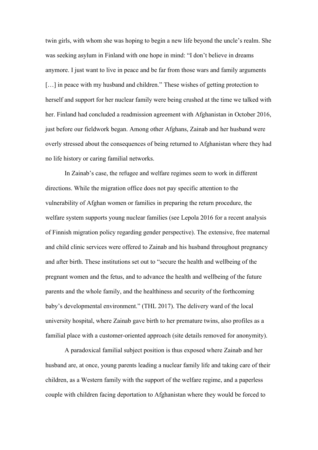twin girls, with whom she was hoping to begin a new life beyond the uncle's realm. She was seeking asylum in Finland with one hope in mind: "I don't believe in dreams anymore. I just want to live in peace and be far from those wars and family arguments [...] in peace with my husband and children." These wishes of getting protection to herself and support for her nuclear family were being crushed at the time we talked with her. Finland had concluded a readmission agreement with Afghanistan in October 2016, just before our fieldwork began. Among other Afghans, Zainab and her husband were overly stressed about the consequences of being returned to Afghanistan where they had no life history or caring familial networks.

In Zainab's case, the refugee and welfare regimes seem to work in different directions. While the migration office does not pay specific attention to the vulnerability of Afghan women or families in preparing the return procedure, the welfare system supports young nuclear families (see Lepola 2016 for a recent analysis of Finnish migration policy regarding gender perspective). The extensive, free maternal and child clinic services were offered to Zainab and his husband throughout pregnancy and after birth. These institutions set out to "secure the health and wellbeing of the pregnant women and the fetus, and to advance the health and wellbeing of the future parents and the whole family, and the healthiness and security of the forthcoming baby's developmental environment." (THL 2017). The delivery ward of the local university hospital, where Zainab gave birth to her premature twins, also profiles as a familial place with a customer-oriented approach (site details removed for anonymity).

A paradoxical familial subject position is thus exposed where Zainab and her husband are, at once, young parents leading a nuclear family life and taking care of their children, as a Western family with the support of the welfare regime, and a paperless couple with children facing deportation to Afghanistan where they would be forced to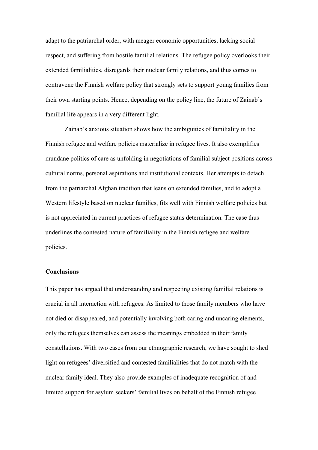adapt to the patriarchal order, with meager economic opportunities, lacking social respect, and suffering from hostile familial relations. The refugee policy overlooks their extended familialities, disregards their nuclear family relations, and thus comes to contravene the Finnish welfare policy that strongly sets to support young families from their own starting points. Hence, depending on the policy line, the future of Zainab's familial life appears in a very different light.

Zainab's anxious situation shows how the ambiguities of familiality in the Finnish refugee and welfare policies materialize in refugee lives. It also exemplifies mundane politics of care as unfolding in negotiations of familial subject positions across cultural norms, personal aspirations and institutional contexts. Her attempts to detach from the patriarchal Afghan tradition that leans on extended families, and to adopt a Western lifestyle based on nuclear families, fits well with Finnish welfare policies but is not appreciated in current practices of refugee status determination. The case thus underlines the contested nature of familiality in the Finnish refugee and welfare policies.

### **Conclusions**

This paper has argued that understanding and respecting existing familial relations is crucial in all interaction with refugees. As limited to those family members who have not died or disappeared, and potentially involving both caring and uncaring elements, only the refugees themselves can assess the meanings embedded in their family constellations. With two cases from our ethnographic research, we have sought to shed light on refugees' diversified and contested familialities that do not match with the nuclear family ideal. They also provide examples of inadequate recognition of and limited support for asylum seekers' familial lives on behalf of the Finnish refugee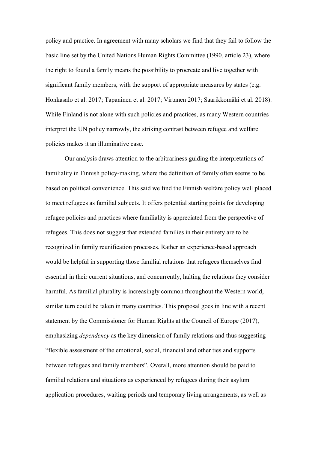policy and practice. In agreement with many scholars we find that they fail to follow the basic line set by the United Nations Human Rights Committee (1990, article 23), where the right to found a family means the possibility to procreate and live together with significant family members, with the support of appropriate measures by states (e.g. Honkasalo et al. 2017; Tapaninen et al. 2017; Virtanen 2017; Saarikkomäki et al. 2018). While Finland is not alone with such policies and practices, as many Western countries interpret the UN policy narrowly, the striking contrast between refugee and welfare policies makes it an illuminative case.

Our analysis draws attention to the arbitrariness guiding the interpretations of familiality in Finnish policy-making, where the definition of family often seems to be based on political convenience. This said we find the Finnish welfare policy well placed to meet refugees as familial subjects. It offers potential starting points for developing refugee policies and practices where familiality is appreciated from the perspective of refugees. This does not suggest that extended families in their entirety are to be recognized in family reunification processes. Rather an experience-based approach would be helpful in supporting those familial relations that refugees themselves find essential in their current situations, and concurrently, halting the relations they consider harmful. As familial plurality is increasingly common throughout the Western world, similar turn could be taken in many countries. This proposal goes in line with a recent statement by the Commissioner for Human Rights at the Council of Europe (2017), emphasizing *dependency* as the key dimension of family relations and thus suggesting "flexible assessment of the emotional, social, financial and other ties and supports between refugees and family members". Overall, more attention should be paid to familial relations and situations as experienced by refugees during their asylum application procedures, waiting periods and temporary living arrangements, as well as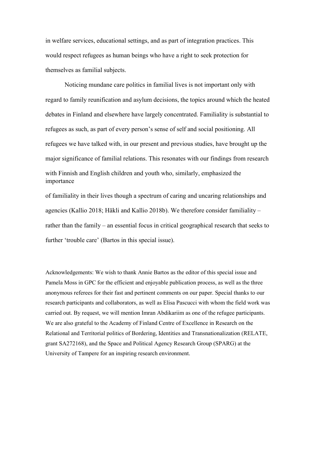in welfare services, educational settings, and as part of integration practices. This would respect refugees as human beings who have a right to seek protection for themselves as familial subjects.

Noticing mundane care politics in familial lives is not important only with regard to family reunification and asylum decisions, the topics around which the heated debates in Finland and elsewhere have largely concentrated. Familiality is substantial to refugees as such, as part of every person's sense of self and social positioning. All refugees we have talked with, in our present and previous studies, have brought up the major significance of familial relations. This resonates with our findings from research with Finnish and English children and youth who, similarly, emphasized the importance

of familiality in their lives though a spectrum of caring and uncaring relationships and agencies (Kallio 2018; Häkli and Kallio 2018b). We therefore consider familiality – rather than the family – an essential focus in critical geographical research that seeks to further 'trouble care' (Bartos in this special issue).

Acknowledgements: We wish to thank Annie Bartos as the editor of this special issue and Pamela Moss in GPC for the efficient and enjoyable publication process, as well as the three anonymous referees for their fast and pertinent comments on our paper. Special thanks to our research participants and collaborators, as well as Elisa Pascucci with whom the field work was carried out. By request, we will mention Imran Abdikariim as one of the refugee participants. We are also grateful to the Academy of Finland Centre of Excellence in Research on the Relational and Territorial politics of Bordering, Identities and Transnationalization (RELATE, grant SA272168), and the Space and Political Agency Research Group (SPARG) at the University of Tampere for an inspiring research environment.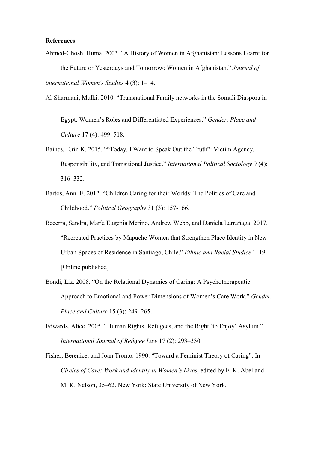### **References**

Ahmed-Ghosh, Huma. 2003. "A History of Women in Afghanistan: Lessons Learnt for the Future or Yesterdays and Tomorrow: Women in Afghanistan." *Journal of international Women's Studies* 4 (3): 1–14.

Al-Sharmani, Mulki. 2010. "Transnational Family networks in the Somali Diaspora in

Egypt: Women's Roles and Differentiated Experiences." *Gender, Place and Culture* 17 (4): 499–518.

- Baines, E.rin K. 2015. ""Today, I Want to Speak Out the Truth": Victim Agency, Responsibility, and Transitional Justice." *International Political Sociology* 9 (4): 316–332.
- Bartos, Ann. E. 2012. "Children Caring for their Worlds: The Politics of Care and Childhood." *Political Geography* 31 (3): 157-166.
- Becerra, Sandra, María Eugenia Merino, Andrew Webb, and Daniela Larrañaga. 2017. "Recreated Practices by Mapuche Women that Strengthen Place Identity in New Urban Spaces of Residence in Santiago, Chile." *Ethnic and Racial Studies* 1–19. [Online published]
- Bondi, Liz. 2008. "On the Relational Dynamics of Caring: A Psychotherapeutic Approach to Emotional and Power Dimensions of Women's Care Work." *Gender, Place and Culture* 15 (3): 249–265.
- Edwards, Alice. 2005. "Human Rights, Refugees, and the Right 'to Enjoy' Asylum." *International Journal of Refugee Law* 17 (2): 293–330.
- Fisher, Berenice, and Joan Tronto. 1990. "Toward a Feminist Theory of Caring". In *Circles of Care: Work and Identity in Women's Lives*, edited by E. K. Abel and M. K. Nelson, 35–62. New York: State University of New York.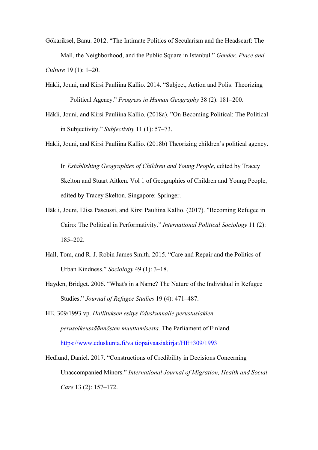- Gökariksel, Banu. 2012. "The Intimate Politics of Secularism and the Headscarf: The Mall, the Neighborhood, and the Public Square in Istanbul." *Gender, Place and Culture* 19 (1): 1–20.
- Häkli, Jouni, and Kirsi Pauliina Kallio. 2014. "Subject, Action and Polis: Theorizing Political Agency." *Progress in Human Geography* 38 (2): 181–200.
- Häkli, Jouni, and Kirsi Pauliina Kallio. (2018a). "On Becoming Political: The Political in Subjectivity." *Subjectivity* 11 (1): 57–73.

Häkli, Jouni, and Kirsi Pauliina Kallio. (2018b) Theorizing children's political agency.

In *Establishing Geographies of Children and Young People*, edited by Tracey Skelton and Stuart Aitken. Vol 1 of Geographies of Children and Young People, edited by Tracey Skelton. Singapore: Springer.

- Häkli, Jouni, Elisa Pascussi, and Kirsi Pauliina Kallio. (2017). "Becoming Refugee in Cairo: The Political in Performativity." *International Political Sociology* 11 (2): 185–202.
- Hall, Tom, and R. J. Robin James Smith. 2015. "Care and Repair and the Politics of Urban Kindness." *Sociology* 49 (1): 3–18.
- Hayden, Bridget. 2006. "What's in a Name? The Nature of the Individual in Refugee Studies." *Journal of Refugee Studies* 19 (4): 471–487.

HE. 309/1993 vp. *Hallituksen esitys Eduskunnalle perustuslakien perusoikeussäännösten muuttamisesta.* The Parliament of Finland. <https://www.eduskunta.fi/valtiopaivaasiakirjat/HE+309/1993>

Hedlund, Daniel. 2017. "Constructions of Credibility in Decisions Concerning Unaccompanied Minors." *International Journal of Migration, Health and Social Care* 13 (2): 157–172.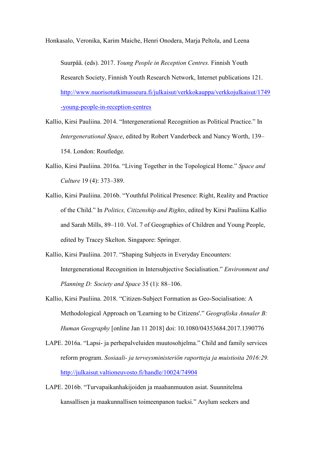Honkasalo, Veronika, Karim Maiche, Henri Onodera, Marja Peltola, and Leena

Suurpää. (eds). 2017. *Young People in Reception Centres.* Finnish Youth Research Society, Finnish Youth Research Network, Internet publications 121. [http://www.nuorisotutkimusseura.fi/julkaisut/verkkokauppa/verkkojulkaisut/1749](http://www.nuorisotutkimusseura.fi/julkaisut/verkkokauppa/verkkojulkaisut/1749-young-people-in-reception-centres) [-young-people-in-reception-centres](http://www.nuorisotutkimusseura.fi/julkaisut/verkkokauppa/verkkojulkaisut/1749-young-people-in-reception-centres)

- Kallio, Kirsi Pauliina. 2014. "Intergenerational Recognition as Political Practice." In *Intergenerational Space*, edited by Robert Vanderbeck and Nancy Worth, 139– 154. London: Routledge.
- Kallio, Kirsi Pauliina. 2016a. "Living Together in the Topological Home." *Space and Culture* 19 (4): 373–389.
- Kallio, Kirsi Pauliina. 2016b. "Youthful Political Presence: Right, Reality and Practice of the Child." In *Politics, Citizenship and Rights*, edited by Kirsi Pauliina Kallio and Sarah Mills, 89–110. Vol. 7 of Geographies of Children and Young People, edited by Tracey Skelton. Singapore: Springer.
- Kallio, Kirsi Pauliina. 2017. "Shaping Subjects in Everyday Encounters: Intergenerational Recognition in Intersubjective Socialisation." *Environment and Planning D: Society and Space* 35 (1): 88–106.
- Kallio, Kirsi Pauliina. 2018. "Citizen-Subject Formation as Geo-Socialisation: A Methodological Approach on 'Learning to be Citizens'." *Geografiska Annaler B: Human Geography* [online Jan 11 2018] doi: 10.1080/04353684.2017.1390776
- LAPE. 2016a. "Lapsi- ja perhepalveluiden muutosohjelma." Child and family services reform program. *Sosiaali- ja terveysministeriön raportteja ja muistioita 2016:29.*  <http://julkaisut.valtioneuvosto.fi/handle/10024/74904>
- LAPE. 2016b. "Turvapaikanhakijoiden ja maahanmuuton asiat. Suunnitelma kansallisen ja maakunnallisen toimeenpanon tueksi." Asylum seekers and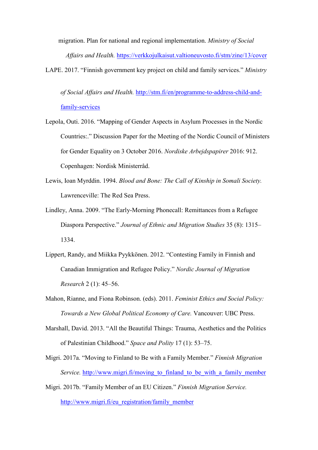migration. Plan for national and regional implementation. *Ministry of Social Affairs and Health.* https://verkkojulkaisut.valtioneuvosto.fi/stm/zine/13/cover

LAPE. 2017. "Finnish g[overnment key project on child and family services."](https://verkkojulkaisut.valtioneuvosto.fi/stm/zine/13/cover) *Ministry* 

*of Social Affairs and Health.* [http://stm.fi/en/programme-to-address-child-and](http://stm.fi/en/programme-to-address-child-and-family-services)[family-services](http://stm.fi/en/programme-to-address-child-and-family-services) 

- Lepola, Outi. 2016. "Mapping of Gender Aspects in Asylum Processes in the Nordic Countries:." Discussion Paper for the Meeting of the Nordic Council of Ministers for Gender Equality on 3 October 2016. *Nordiske Arbejdspapirer* 2016: 912. Copenhagen: Nordisk Ministerråd.
- Lewis, Ioan Myrddin. 1994. *Blood and Bone: The Call of Kinship in Somali Society.* Lawrenceville: The Red Sea Press.
- Lindley, Anna. 2009. "The Early-Morning Phonecall: Remittances from a Refugee Diaspora Perspective." *Journal of Ethnic and Migration Studies* 35 (8): 1315– 1334.
- Lippert, Randy, and Miikka Pyykkönen. 2012. "Contesting Family in Finnish and Canadian Immigration and Refugee Policy." *Nordic Journal of Migration Research* 2 (1): 45–56.
- Mahon, Rianne, and Fiona Robinson. (eds). 2011. *Feminist Ethics and Social Policy: Towards a New Global Political Economy of Care.* Vancouver: UBC Press.
- Marshall, David. 2013. "All the Beautiful Things: Trauma, Aesthetics and the Politics of Palestinian Childhood." *Space and Polity* 17 (1): 53–75.
- Migri. 2017a. "Moving to Finland to Be with a Family Member." *Finnish Migration Service.* http://www.migri.fi/moving to finland to be with a family member

Migri. 2017b. "Family Member of an EU Citizen." *Finnish Migration Service.*  [http://www.migri.fi/eu\\_registration/family\\_member](http://www.migri.fi/eu_registration/family_member)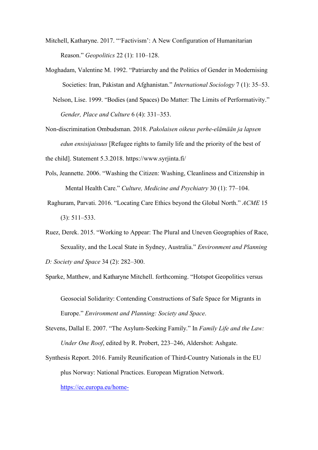- Mitchell, Katharyne. 2017. "'Factivism': A New Configuration of Humanitarian Reason." *Geopolitics* 22 (1): 110–128.
- Moghadam, Valentine M. 1992. "Patriarchy and the Politics of Gender in Modernising Societies: Iran, Pakistan and Afghanistan." *International Sociology* 7 (1): 35–53.

Nelson, Lise. 1999. "Bodies (and Spaces) Do Matter: The Limits of Performativity." *Gender, Place and Culture* 6 (4): 331–353.

Non-discrimination Ombudsman. 2018. *Pakolaisen oikeus perhe-elämään ja lapsen edun ensisijaisuus* [Refugee rights to family life and the priority of the best of

the child]. Statement 5.3.2018. https://www.syrjinta.fi/

- Pols, Jeannette. 2006. "Washing the Citizen: Washing, Cleanliness and Citizenship in Mental Health Care." *Culture, Medicine and Psychiatry* 30 (1): 77–104.
- Raghuram, Parvati. 2016. "Locating Care Ethics beyond the Global North." *ACME* 15 (3): 511–533.
- Ruez, Derek. 2015. "Working to Appear: The Plural and Uneven Geographies of Race, Sexuality, and the Local State in Sydney, Australia." *Environment and Planning D: Society and Space* 34 (2): 282–300.

Sparke, Matthew, and Katharyne Mitchell. forthcoming. "Hotspot Geopolitics versus

Geosocial Solidarity: Contending Constructions of Safe Space for Migrants in Europe." *Environment and Planning: Society and Space*.

- Stevens, Dallal E. 2007. "The Asylum-Seeking Family." In *Family Life and the Law: Under One Roof*, edited by R. Probert, 223–246, Aldershot: Ashgate.
- Synthesis Report. 2016. Family Reunification of Third-Country Nationals in the EU plus Norway: National Practices. European Migration Network.

[https://ec.europa.eu/home-](https://ec.europa.eu/home-affairs/sites/homeaffairs/files/00_family_reunification_synthesis_report_final_en_print_ready_0.pdf)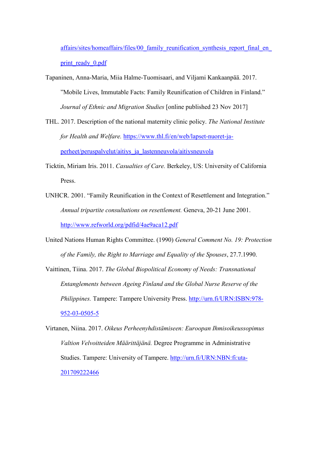affairs/sites/homeaffairs/files/00 family reunification synthesis report final en print\_ready\_0.pdf

Tapaninen, Anna-Maria, Miia Halme-Tuomisaari, and Viljami Kankaanpää. 2017. "Mobile Lives, Immutable Facts: Family Reunification of Children in Finland." *Journal of Ethnic and Migration Studies* [online published 23 Nov 2017]

THL. 2017. Description of the national maternity clinic policy. *The National Institute for Health and Welfare.* [https://www.thl.fi/en/web/lapset-nuoret-ja](https://www.thl.fi/en/web/lapset-nuoret-ja-perheet/peruspalvelut/aitiys_ja_lastenneuvola/aitiysneuvola)[perheet/peruspalvelut/aitiys\\_ja\\_lastenneuvola/aitiysneuvola](https://www.thl.fi/en/web/lapset-nuoret-ja-perheet/peruspalvelut/aitiys_ja_lastenneuvola/aitiysneuvola)

Ticktin, Miriam Iris. 2011. *Casualties of Care.* Berkeley, US: University of California Press.

UNHCR. 2001. "Family Reunification in the Context of Resettlement and Integration." *Annual tripartite consultations on resettlement.* Geneva, 20-21 June 2001. <http://www.refworld.org/pdfid/4ae9aca12.pdf>

United Nations Human Rights Committee. (1990) *General Comment No. 19: Protection of the Family, the Right to Marriage and Equality of the Spouses*, 27.7.1990.

Vaittinen, Tiina. 2017. *The Global Biopolitical Economy of Needs: Transnational Entanglements between Ageing Finland and the Global Nurse Reserve of the Philippines.* Tampere: Tampere University Press. [http://urn.fi/URN:ISBN:978-](http://urn.fi/URN:ISBN:978-952-03-0505-5) [952-03-0505-5](http://urn.fi/URN:ISBN:978-952-03-0505-5)

Virtanen, Niina. 2017. *Oikeus Perheenyhdistämiseen: Euroopan Ihmisoikeussopimus Valtion Velvoitteiden Määrittäjänä.* Degree Programme in Administrative Studies. Tampere: University of Tampere. [http://urn.fi/URN:NBN:fi:uta-](http://urn.fi/URN:NBN:fi:uta-201709222466)[201709222466](http://urn.fi/URN:NBN:fi:uta-201709222466)